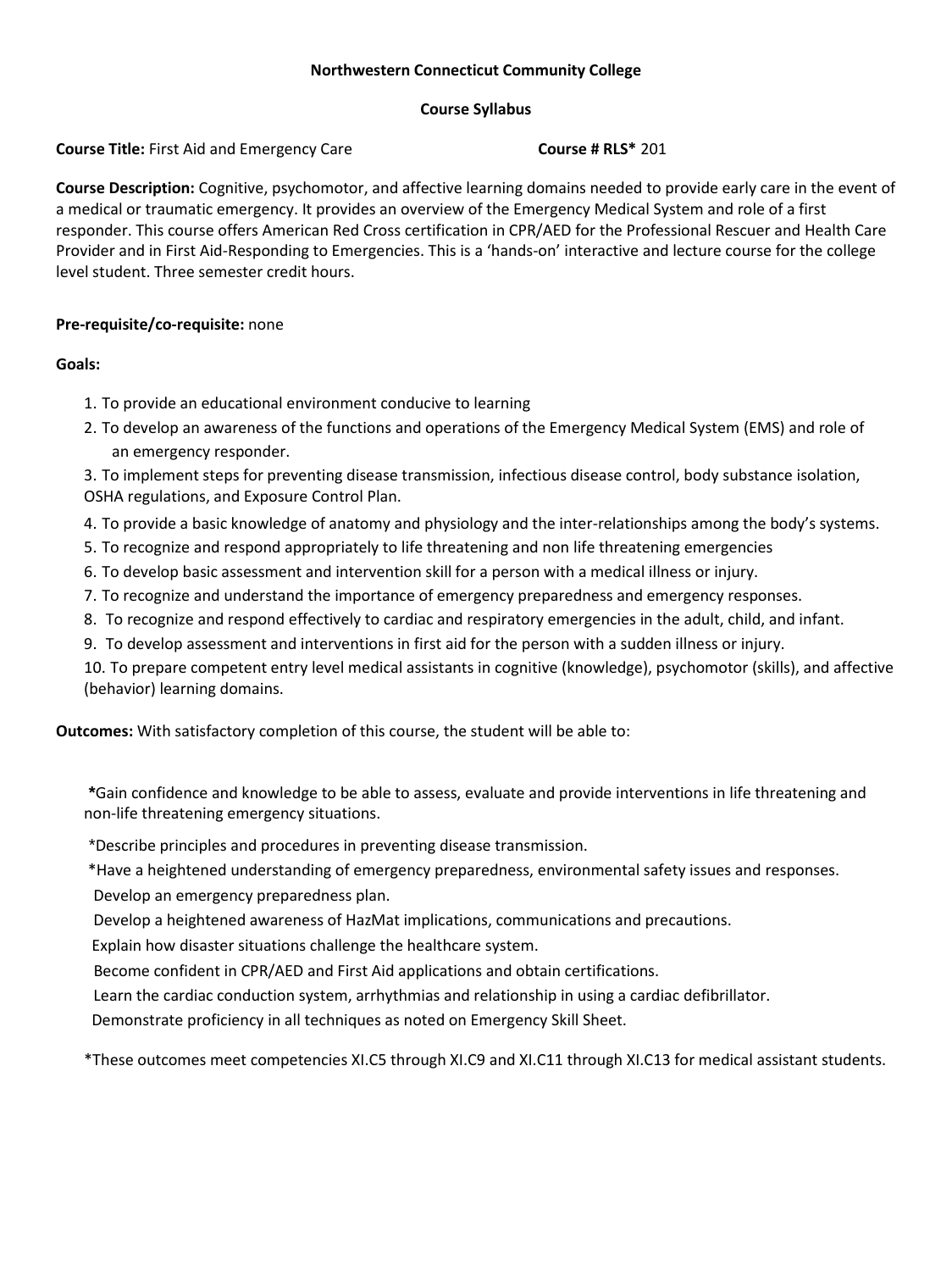#### **Northwestern Connecticut Community College**

#### **Course Syllabus**

**Course Title:** First Aid and Emergency Care **COURG 201 Course # RLS\*** 201

**Course Description:** Cognitive, psychomotor, and affective learning domains needed to provide early care in the event of a medical or traumatic emergency. It provides an overview of the Emergency Medical System and role of a first responder. This course offers American Red Cross certification in CPR/AED for the Professional Rescuer and Health Care Provider and in First Aid-Responding to Emergencies. This is a 'hands-on' interactive and lecture course for the college level student. Three semester credit hours.

## **Pre-requisite/co-requisite:** none

## **Goals:**

- 1. To provide an educational environment conducive to learning
- 2. To develop an awareness of the functions and operations of the Emergency Medical System (EMS) and role of an emergency responder.

3. To implement steps for preventing disease transmission, infectious disease control, body substance isolation, OSHA regulations, and Exposure Control Plan.

- 4. To provide a basic knowledge of anatomy and physiology and the inter-relationships among the body's systems.
- 5. To recognize and respond appropriately to life threatening and non life threatening emergencies
- 6. To develop basic assessment and intervention skill for a person with a medical illness or injury.
- 7. To recognize and understand the importance of emergency preparedness and emergency responses.
- 8. To recognize and respond effectively to cardiac and respiratory emergencies in the adult, child, and infant.
- 9. To develop assessment and interventions in first aid for the person with a sudden illness or injury.

10. To prepare competent entry level medical assistants in cognitive (knowledge), psychomotor (skills), and affective (behavior) learning domains.

**Outcomes:** With satisfactory completion of this course, the student will be able to:

**\***Gain confidence and knowledge to be able to assess, evaluate and provide interventions in life threatening and non-life threatening emergency situations.

\*Describe principles and procedures in preventing disease transmission.

\*Have a heightened understanding of emergency preparedness, environmental safety issues and responses.

Develop an emergency preparedness plan.

Develop a heightened awareness of HazMat implications, communications and precautions.

Explain how disaster situations challenge the healthcare system.

Become confident in CPR/AED and First Aid applications and obtain certifications.

Learn the cardiac conduction system, arrhythmias and relationship in using a cardiac defibrillator.

Demonstrate proficiency in all techniques as noted on Emergency Skill Sheet.

\*These outcomes meet competencies XI.C5 through XI.C9 and XI.C11 through XI.C13 for medical assistant students.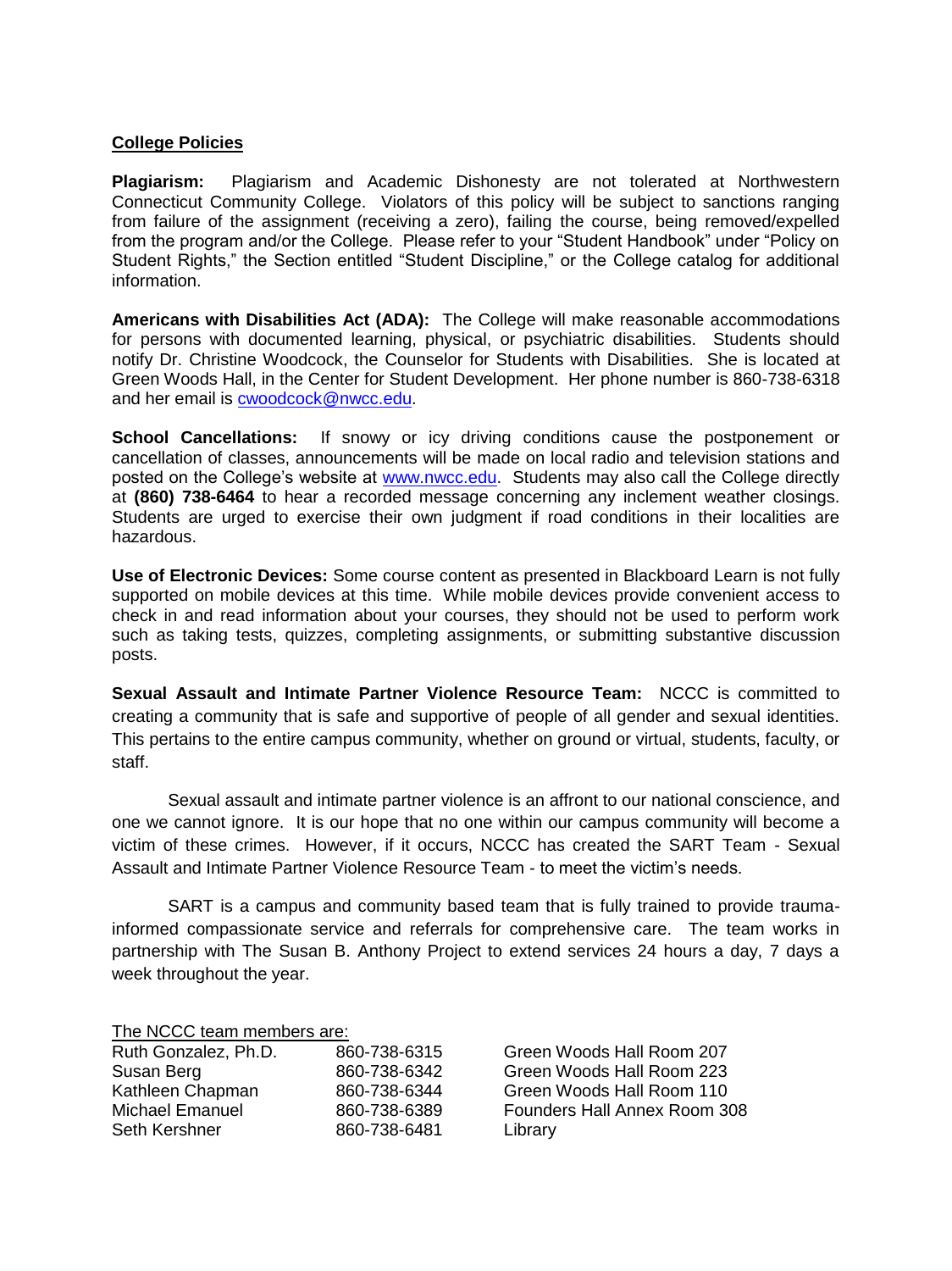# **College Policies**

**Plagiarism:** Plagiarism and Academic Dishonesty are not tolerated at Northwestern Connecticut Community College. Violators of this policy will be subject to sanctions ranging from failure of the assignment (receiving a zero), failing the course, being removed/expelled from the program and/or the College. Please refer to your "Student Handbook" under "Policy on Student Rights," the Section entitled "Student Discipline," or the College catalog for additional information.

**Americans with Disabilities Act (ADA):** The College will make reasonable accommodations for persons with documented learning, physical, or psychiatric disabilities. Students should notify Dr. Christine Woodcock, the Counselor for Students with Disabilities. She is located at Green Woods Hall, in the Center for Student Development. Her phone number is 860-738-6318 and her email is [cwoodcock@nwcc.edu.](mailto:cwoodcock@nwcc.edu)

**School Cancellations:** If snowy or icy driving conditions cause the postponement or cancellation of classes, announcements will be made on local radio and television stations and posted on the College's website at [www.nwcc.edu.](http://www.nwcc.edu/) Students may also call the College directly at **(860) 738-6464** to hear a recorded message concerning any inclement weather closings. Students are urged to exercise their own judgment if road conditions in their localities are hazardous.

**Use of Electronic Devices:** Some course content as presented in Blackboard Learn is not fully supported on mobile devices at this time. While mobile devices provide convenient access to check in and read information about your courses, they should not be used to perform work such as taking tests, quizzes, completing assignments, or submitting substantive discussion posts.

**Sexual Assault and Intimate Partner Violence Resource Team:** NCCC is committed to creating a community that is safe and supportive of people of all gender and sexual identities. This pertains to the entire campus community, whether on ground or virtual, students, faculty, or staff.

Sexual assault and intimate partner violence is an affront to our national conscience, and one we cannot ignore. It is our hope that no one within our campus community will become a victim of these crimes. However, if it occurs, NCCC has created the SART Team - Sexual Assault and Intimate Partner Violence Resource Team - to meet the victim's needs.

SART is a campus and community based team that is fully trained to provide traumainformed compassionate service and referrals for comprehensive care. The team works in partnership with The Susan B. Anthony Project to extend services 24 hours a day, 7 days a week throughout the year.

The NCCC team members are:

| Ruth Gonzalez, Ph.D.   | 860-738-6315 |
|------------------------|--------------|
| Susan Berg             | 860-738-6342 |
| Kathleen Chapman       | 860-738-6344 |
| <b>Michael Emanuel</b> | 860-738-6389 |
| Seth Kershner          | 860-738-6481 |

Green Woods Hall Room 207 Green Woods Hall Room 223 Green Woods Hall Room 110 Founders Hall Annex Room 308 Library